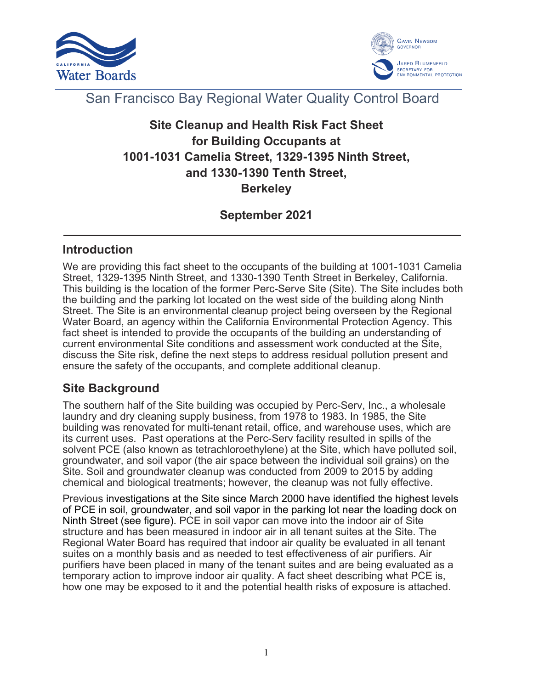



# San Francisco Bay Regional Water Quality Control Board

# **Site Cleanup and Health Risk Fact Sheet for Building Occupants at 1001-1031 Camelia Street, 1329-1395 Ninth Street, and 1330-1390 Tenth Street, Berkeley**

# **September 2021**

## **Introduction**

We are providing this fact sheet to the occupants of the building at 1001-1031 Camelia Street, 1329-1395 Ninth Street, and 1330-1390 Tenth Street in Berkeley, California. This building is the location of the former Perc-Serve Site (Site). The Site includes both the building and the parking lot located on the west side of the building along Ninth Street. The Site is an environmental cleanup project being overseen by the Regional Water Board, an agency within the California Environmental Protection Agency. This fact sheet is intended to provide the occupants of the building an understanding of current environmental Site conditions and assessment work conducted at the Site, discuss the Site risk, define the next steps to address residual pollution present and ensure the safety of the occupants, and complete additional cleanup.

#### **Site Background**

The southern half of the Site building was occupied by Perc-Serv, Inc., a wholesale laundry and dry cleaning supply business, from 1978 to 1983. In 1985, the Site building was renovated for multi-tenant retail, office, and warehouse uses, which are its current uses. Past operations at the Perc-Serv facility resulted in spills of the solvent PCE (also known as tetrachloroethylene) at the Site, which have polluted soil, groundwater, and soil vapor (the air space between the individual soil grains) on the Site. Soil and groundwater cleanup was conducted from 2009 to 2015 by adding chemical and biological treatments; however, the cleanup was not fully effective.

Previous investigations at the Site since March 2000 have identified the highest levels of PCE in soil, groundwater, and soil vapor in the parking lot near the loading dock on Ninth Street (see figure). PCE in soil vapor can move into the indoor air of Site structure and has been measured in indoor air in all tenant suites at the Site. The Regional Water Board has required that indoor air quality be evaluated in all tenant suites on a monthly basis and as needed to test effectiveness of air purifiers. Air purifiers have been placed in many of the tenant suites and are being evaluated as a temporary action to improve indoor air quality. A fact sheet describing what PCE is, how one may be exposed to it and the potential health risks of exposure is attached.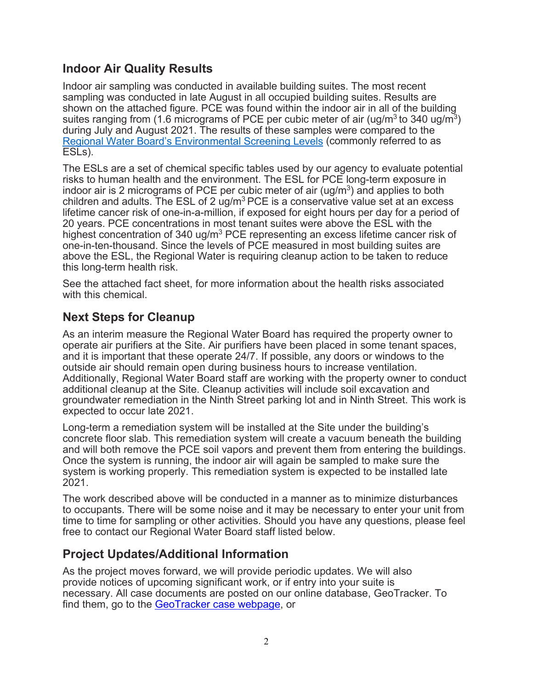## **Indoor Air Quality Results**

Indoor air sampling was conducted in available building suites. The most recent sampling was conducted in late August in all occupied building suites. Results are shown on the attached figure. PCE was found within the indoor air in all of the building suites ranging from (1.6 micrograms of PCE per cubic meter of air (ug/m<sup>3</sup> to 340 ug/m<sup>3</sup>) during July and August 2021. The results of these samples were compared to the [Regional Water Board's Environmental Screening Levels](https://www.waterboards.ca.gov/sanfranciscobay/water_issues/programs/esl.html) (commonly referred to as ESLs).

The ESLs are a set of chemical specific tables used by our agency to evaluate potential risks to human health and the environment. The ESL for PCE long-term exposure in indoor air is 2 micrograms of PCE per cubic meter of air ( $\mu$ g/m<sup>3</sup>) and applies to both children and adults. The ESL of 2 ug/ $m<sup>3</sup>$  PCE is a conservative value set at an excess lifetime cancer risk of one-in-a-million, if exposed for eight hours per day for a period of 20 years. PCE concentrations in most tenant suites were above the ESL with the highest concentration of 340 ug/m<sup>3</sup> PCE representing an excess lifetime cancer risk of one-in-ten-thousand. Since the levels of PCE measured in most building suites are above the ESL, the Regional Water is requiring cleanup action to be taken to reduce this long-term health risk.

See the attached fact sheet, for more information about the health risks associated with this chemical.

## **Next Steps for Cleanup**

As an interim measure the Regional Water Board has required the property owner to operate air purifiers at the Site. Air purifiers have been placed in some tenant spaces, and it is important that these operate 24/7. If possible, any doors or windows to the outside air should remain open during business hours to increase ventilation. Additionally, Regional Water Board staff are working with the property owner to conduct additional cleanup at the Site. Cleanup activities will include soil excavation and groundwater remediation in the Ninth Street parking lot and in Ninth Street. This work is expected to occur late 2021.

Long-term a remediation system will be installed at the Site under the building's concrete floor slab. This remediation system will create a vacuum beneath the building and will both remove the PCE soil vapors and prevent them from entering the buildings. Once the system is running, the indoor air will again be sampled to make sure the system is working properly. This remediation system is expected to be installed late 2021.

The work described above will be conducted in a manner as to minimize disturbances to occupants. There will be some noise and it may be necessary to enter your unit from time to time for sampling or other activities. Should you have any questions, please feel free to contact our Regional Water Board staff listed below.

#### **Project Updates/Additional Information**

As the project moves forward, we will provide periodic updates. We will also provide notices of upcoming significant work, or if entry into your suite is necessary. All case documents are posted on our online database, GeoTracker. To find them, go to the [GeoTracker case webpage,](file://ca.epa.local/rb/RB2/HOME/dtanouye/My%20Sites/Camelia%20Street%20Property/RP%20Submitted/GeoTracker%20case%20webpage) or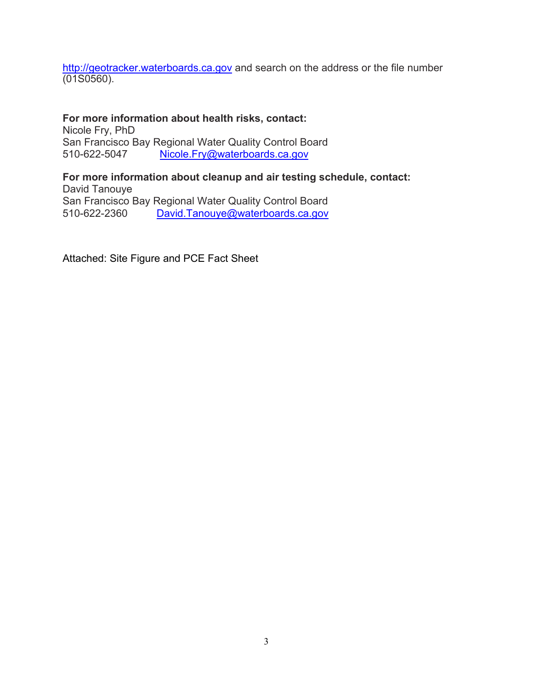[http://geotracker.waterboards.ca.gov](http://geotracker.waterboards.ca.gov/) and search on the address or the file number (01S0560).

**For more information about health risks, contact:** Nicole Fry, PhD San Francisco Bay Regional Water Quality Control Board 510-622-5047 [Nicole.Fry@waterboards.ca.gov](mailto:Nicole.Fry@waterboards.ca.gov)

**For more information about cleanup and air testing schedule, contact:** David Tanouye San Francisco Bay Regional Water Quality Control Board 510-622-2360 [David.Tanouye@waterboards.ca.gov](mailto:David.Tanouye@waterboards.ca.gov)

Attached: Site Figure and PCE Fact Sheet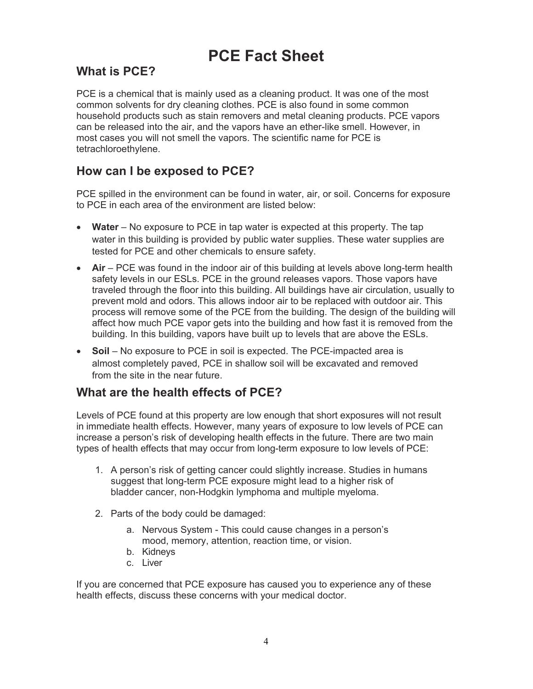# **PCE Fact Sheet**

# **What is PCE?**

PCE is a chemical that is mainly used as a cleaning product. It was one of the most common solvents for dry cleaning clothes. PCE is also found in some common household products such as stain removers and metal cleaning products. PCE vapors can be released into the air, and the vapors have an ether-like smell. However, in most cases you will not smell the vapors. The scientific name for PCE is tetrachloroethylene.

## **How can I be exposed to PCE?**

PCE spilled in the environment can be found in water, air, or soil. Concerns for exposure to PCE in each area of the environment are listed below:

- **Water** No exposure to PCE in tap water is expected at this property. The tap water in this building is provided by public water supplies. These water supplies are tested for PCE and other chemicals to ensure safety.
- Air PCE was found in the indoor air of this building at levels above long-term health safety levels in our ESLs. PCE in the ground releases vapors. Those vapors have traveled through the floor into this building. All buildings have air circulation, usually to prevent mold and odors. This allows indoor air to be replaced with outdoor air. This process will remove some of the PCE from the building. The design of the building will affect how much PCE vapor gets into the building and how fast it is removed from the building. In this building, vapors have built up to levels that are above the ESLs.
- **Soil** No exposure to PCE in soil is expected. The PCE-impacted area is almost completely paved, PCE in shallow soil will be excavated and removed from the site in the near future.

#### **What are the health effects of PCE?**

Levels of PCE found at this property are low enough that short exposures will not result in immediate health effects. However, many years of exposure to low levels of PCE can increase a person's risk of developing health effects in the future. There are two main types of health effects that may occur from long-term exposure to low levels of PCE:

- 1. A person's risk of getting cancer could slightly increase. Studies in humans suggest that long-term PCE exposure might lead to a higher risk of bladder cancer, non-Hodgkin lymphoma and multiple myeloma.
- 2. Parts of the body could be damaged:
	- a. Nervous System This could cause changes in a person's mood, memory, attention, reaction time, or vision.
	- b. Kidneys
	- c. Liver

If you are concerned that PCE exposure has caused you to experience any of these health effects, discuss these concerns with your medical doctor.